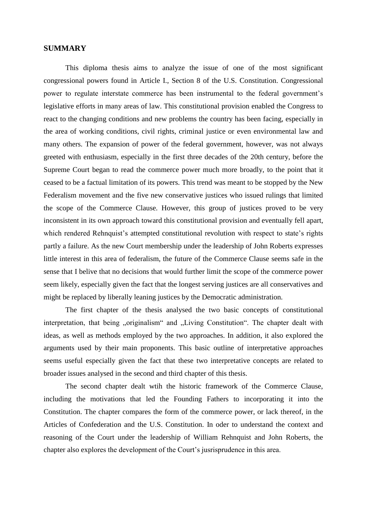## **SUMMARY**

This diploma thesis aims to analyze the issue of one of the most significant congressional powers found in Article I., Section 8 of the U.S. Constitution. Congressional power to regulate interstate commerce has been instrumental to the federal government's legislative efforts in many areas of law. This constitutional provision enabled the Congress to react to the changing conditions and new problems the country has been facing, especially in the area of working conditions, civil rights, criminal justice or even environmental law and many others. The expansion of power of the federal government, however, was not always greeted with enthusiasm, especially in the first three decades of the 20th century, before the Supreme Court began to read the commerce power much more broadly, to the point that it ceased to be a factual limitation of its powers. This trend was meant to be stopped by the New Federalism movement and the five new conservative justices who issued rulings that limited the scope of the Commerce Clause. However, this group of justices proved to be very inconsistent in its own approach toward this constitutional provision and eventually fell apart, which rendered Rehnquist's attempted constitutional revolution with respect to state's rights partly a failure. As the new Court membership under the leadership of John Roberts expresses little interest in this area of federalism, the future of the Commerce Clause seems safe in the sense that I belive that no decisions that would further limit the scope of the commerce power seem likely, especially given the fact that the longest serving justices are all conservatives and might be replaced by liberally leaning justices by the Democratic administration.

The first chapter of the thesis analysed the two basic concepts of constitutional interpretation, that being "originalism" and "Living Constitution". The chapter dealt with ideas, as well as methods employed by the two approaches. In addition, it also explored the arguments used by their main proponents. This basic outline of interpretative approaches seems useful especially given the fact that these two interpretative concepts are related to broader issues analysed in the second and third chapter of this thesis.

The second chapter dealt wtih the historic framework of the Commerce Clause, including the motivations that led the Founding Fathers to incorporating it into the Constitution. The chapter compares the form of the commerce power, or lack thereof, in the Articles of Confederation and the U.S. Constitution. In oder to understand the context and reasoning of the Court under the leadership of William Rehnquist and John Roberts, the chapter also explores the development of the Court's jusrisprudence in this area.